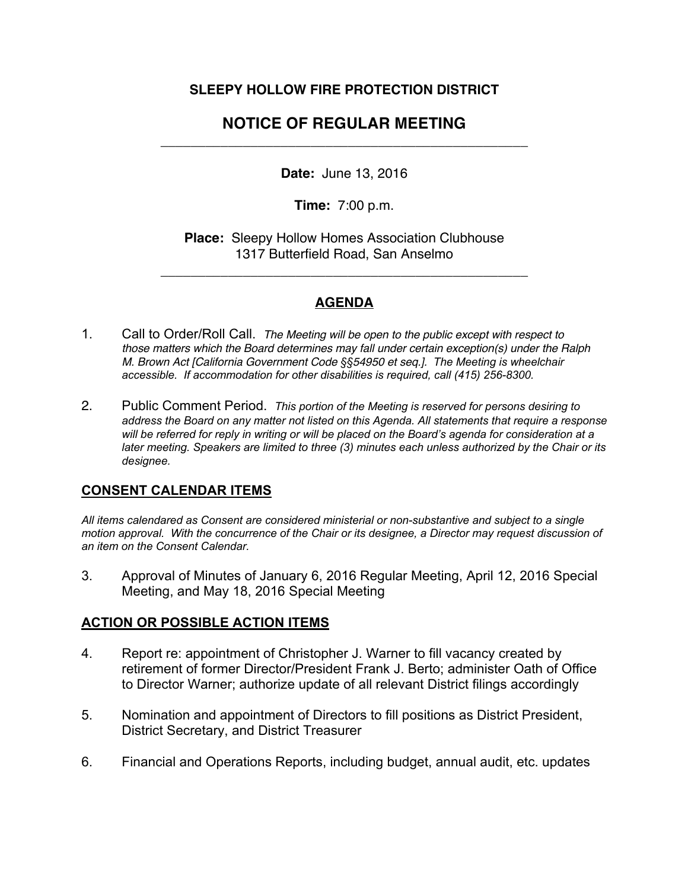### **SLEEPY HOLLOW FIRE PROTECTION DISTRICT**

# **NOTICE OF REGULAR MEETING**  \_\_\_\_\_\_\_\_\_\_\_\_\_\_\_\_\_\_\_\_\_\_\_\_\_\_\_\_\_\_\_\_\_\_\_\_\_\_\_\_\_\_\_\_\_\_\_\_\_

**Date:** June 13, 2016

**Time:** 7:00 p.m.

**Place:** Sleepy Hollow Homes Association Clubhouse 1317 Butterfield Road, San Anselmo

\_\_\_\_\_\_\_\_\_\_\_\_\_\_\_\_\_\_\_\_\_\_\_\_\_\_\_\_\_\_\_\_\_\_\_\_\_\_\_\_\_\_\_\_\_\_\_\_\_

### **AGENDA**

- 1. Call to Order/Roll Call. *The Meeting will be open to the public except with respect to those matters which the Board determines may fall under certain exception(s) under the Ralph M. Brown Act [California Government Code §§54950 et seq.]. The Meeting is wheelchair accessible. If accommodation for other disabilities is required, call (415) 256-8300.*
- 2. Public Comment Period. *This portion of the Meeting is reserved for persons desiring to address the Board on any matter not listed on this Agenda. All statements that require a response will be referred for reply in writing or will be placed on the Board's agenda for consideration at a later meeting. Speakers are limited to three (3) minutes each unless authorized by the Chair or its designee.*

#### **CONSENT CALENDAR ITEMS**

*All items calendared as Consent are considered ministerial or non-substantive and subject to a single motion approval. With the concurrence of the Chair or its designee, a Director may request discussion of an item on the Consent Calendar.*

3. Approval of Minutes of January 6, 2016 Regular Meeting, April 12, 2016 Special Meeting, and May 18, 2016 Special Meeting

## **ACTION OR POSSIBLE ACTION ITEMS**

- 4. Report re: appointment of Christopher J. Warner to fill vacancy created by retirement of former Director/President Frank J. Berto; administer Oath of Office to Director Warner; authorize update of all relevant District filings accordingly
- 5. Nomination and appointment of Directors to fill positions as District President, District Secretary, and District Treasurer
- 6. Financial and Operations Reports, including budget, annual audit, etc. updates